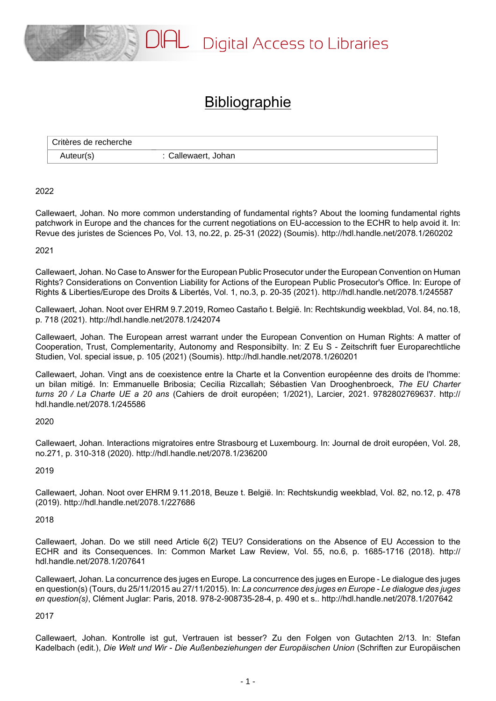

# **Bibliographie**

| Critères de recherche |                   |
|-----------------------|-------------------|
| Auteur(s)             | Callewaert, Johan |

# 2022

Callewaert, Johan. No more common understanding of fundamental rights? About the looming fundamental rights patchwork in Europe and the chances for the current negotiations on EU-accession to the ECHR to help avoid it. In: Revue des juristes de Sciences Po, Vol. 13, no.22, p. 25-31 (2022) (Soumis). http://hdl.handle.net/2078.1/260202

#### 2021

Callewaert, Johan. No Case to Answer for the European Public Prosecutor under the European Convention on Human Rights? Considerations on Convention Liability for Actions of the European Public Prosecutor's Office. In: Europe of Rights & Liberties/Europe des Droits & Libertés, Vol. 1, no.3, p. 20-35 (2021). http://hdl.handle.net/2078.1/245587

Callewaert, Johan. Noot over EHRM 9.7.2019, Romeo Castaño t. België. In: Rechtskundig weekblad, Vol. 84, no.18, p. 718 (2021). http://hdl.handle.net/2078.1/242074

Callewaert, Johan. The European arrest warrant under the European Convention on Human Rights: A matter of Cooperation, Trust, Complementarity, Autonomy and Responsibilty. In: Z Eu S - Zeitschrift fuer Europarechtliche Studien, Vol. special issue, p. 105 (2021) (Soumis). http://hdl.handle.net/2078.1/260201

Callewaert, Johan. Vingt ans de coexistence entre la Charte et la Convention européenne des droits de l'homme: un bilan mitigé. In: Emmanuelle Bribosia; Cecilia Rizcallah; Sébastien Van Drooghenbroeck, *The EU Charter turns 20 / La Charte UE a 20 ans* (Cahiers de droit européen; 1/2021), Larcier, 2021. 9782802769637. http:// hdl.handle.net/2078.1/245586

# 2020

Callewaert, Johan. Interactions migratoires entre Strasbourg et Luxembourg. In: Journal de droit européen, Vol. 28, no.271, p. 310-318 (2020). http://hdl.handle.net/2078.1/236200

#### 2019

Callewaert, Johan. Noot over EHRM 9.11.2018, Beuze t. België. In: Rechtskundig weekblad, Vol. 82, no.12, p. 478 (2019). http://hdl.handle.net/2078.1/227686

#### 2018

Callewaert, Johan. Do we still need Article 6(2) TEU? Considerations on the Absence of EU Accession to the ECHR and its Consequences. In: Common Market Law Review, Vol. 55, no.6, p. 1685-1716 (2018). http:// hdl.handle.net/2078.1/207641

Callewaert, Johan. La concurrence des juges en Europe. La concurrence des juges en Europe - Le dialogue des juges en question(s) (Tours, du 25/11/2015 au 27/11/2015). In: *La concurrence des juges en Europe - Le dialogue des juges en question(s)*, Clément Juglar: Paris, 2018. 978-2-908735-28-4, p. 490 et s.. http://hdl.handle.net/2078.1/207642

# 2017

Callewaert, Johan. Kontrolle ist gut, Vertrauen ist besser? Zu den Folgen von Gutachten 2/13. In: Stefan Kadelbach (edit.), *Die Welt und Wir - Die Außenbeziehungen der Europäischen Union* (Schriften zur Europäischen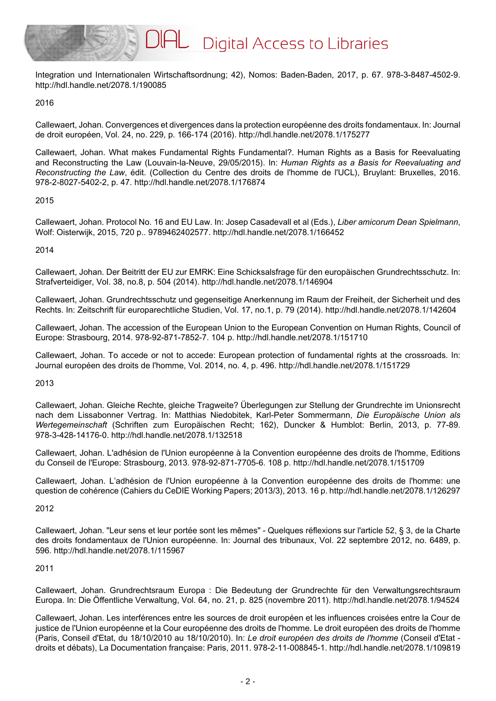

Integration und Internationalen Wirtschaftsordnung; 42), Nomos: Baden-Baden, 2017, p. 67. 978-3-8487-4502-9. http://hdl.handle.net/2078.1/190085

2016

Callewaert, Johan. Convergences et divergences dans la protection européenne des droits fondamentaux. In: Journal de droit européen, Vol. 24, no. 229, p. 166-174 (2016). http://hdl.handle.net/2078.1/175277

Callewaert, Johan. What makes Fundamental Rights Fundamental?. Human Rights as a Basis for Reevaluating and Reconstructing the Law (Louvain-la-Neuve, 29/05/2015). In: *Human Rights as a Basis for Reevaluating and Reconstructing the Law*, édit. (Collection du Centre des droits de l'homme de l'UCL), Bruylant: Bruxelles, 2016. 978-2-8027-5402-2, p. 47. http://hdl.handle.net/2078.1/176874

2015

Callewaert, Johan. Protocol No. 16 and EU Law. In: Josep Casadevall et al (Eds.), *Liber amicorum Dean Spielmann*, Wolf: Oisterwijk, 2015, 720 p.. 9789462402577. http://hdl.handle.net/2078.1/166452

2014

Callewaert, Johan. Der Beitritt der EU zur EMRK: Eine Schicksalsfrage für den europäischen Grundrechtsschutz. In: Strafverteidiger, Vol. 38, no.8, p. 504 (2014). http://hdl.handle.net/2078.1/146904

Callewaert, Johan. Grundrechtsschutz und gegenseitige Anerkennung im Raum der Freiheit, der Sicherheit und des Rechts. In: Zeitschrift für europarechtliche Studien, Vol. 17, no.1, p. 79 (2014). http://hdl.handle.net/2078.1/142604

Callewaert, Johan. The accession of the European Union to the European Convention on Human Rights, Council of Europe: Strasbourg, 2014. 978-92-871-7852-7. 104 p. http://hdl.handle.net/2078.1/151710

Callewaert, Johan. To accede or not to accede: European protection of fundamental rights at the crossroads. In: Journal européen des droits de l'homme, Vol. 2014, no. 4, p. 496. http://hdl.handle.net/2078.1/151729

2013

Callewaert, Johan. Gleiche Rechte, gleiche Tragweite? Überlegungen zur Stellung der Grundrechte im Unionsrecht nach dem Lissabonner Vertrag. In: Matthias Niedobitek, Karl-Peter Sommermann, *Die Europäische Union als Wertegemeinschaft* (Schriften zum Europäischen Recht; 162), Duncker & Humblot: Berlin, 2013, p. 77-89. 978-3-428-14176-0. http://hdl.handle.net/2078.1/132518

Callewaert, Johan. L'adhésion de l'Union européenne à la Convention européenne des droits de l'homme, Editions du Conseil de l'Europe: Strasbourg, 2013. 978-92-871-7705-6. 108 p. http://hdl.handle.net/2078.1/151709

Callewaert, Johan. L'adhésion de l'Union européenne à la Convention européenne des droits de l'homme: une question de cohérence (Cahiers du CeDIE Working Papers; 2013/3), 2013. 16 p. http://hdl.handle.net/2078.1/126297

2012

Callewaert, Johan. "Leur sens et leur portée sont les mêmes" - Quelques réflexions sur l'article 52, § 3, de la Charte des droits fondamentaux de l'Union européenne. In: Journal des tribunaux, Vol. 22 septembre 2012, no. 6489, p. 596. http://hdl.handle.net/2078.1/115967

# 2011

Callewaert, Johan. Grundrechtsraum Europa : Die Bedeutung der Grundrechte für den Verwaltungsrechtsraum Europa. In: Die Öffentliche Verwaltung, Vol. 64, no. 21, p. 825 (novembre 2011). http://hdl.handle.net/2078.1/94524

Callewaert, Johan. Les interférences entre les sources de droit européen et les influences croisées entre la Cour de justice de l'Union européenne et la Cour européenne des droits de l'homme. Le droit européen des droits de l'homme (Paris, Conseil d'Etat, du 18/10/2010 au 18/10/2010). In: *Le droit européen des droits de l'homme* (Conseil d'Etat droits et débats), La Documentation française: Paris, 2011. 978-2-11-008845-1. http://hdl.handle.net/2078.1/109819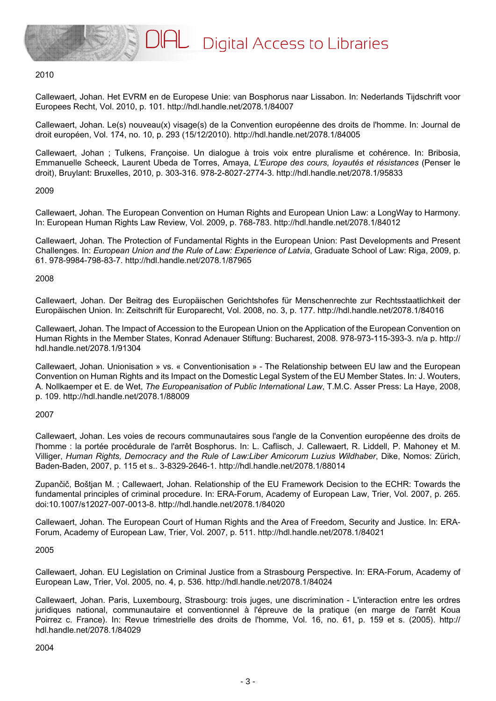#### 2010

Callewaert, Johan. Het EVRM en de Europese Unie: van Bosphorus naar Lissabon. In: Nederlands Tijdschrift voor Europees Recht, Vol. 2010, p. 101. http://hdl.handle.net/2078.1/84007

Callewaert, Johan. Le(s) nouveau(x) visage(s) de la Convention européenne des droits de l'homme. In: Journal de droit européen, Vol. 174, no. 10, p. 293 (15/12/2010). http://hdl.handle.net/2078.1/84005

Callewaert, Johan ; Tulkens, Françoise. Un dialogue à trois voix entre pluralisme et cohérence. In: Bribosia, Emmanuelle Scheeck, Laurent Ubeda de Torres, Amaya, *L'Europe des cours, loyautés et résistances* (Penser le droit), Bruylant: Bruxelles, 2010, p. 303-316. 978-2-8027-2774-3. http://hdl.handle.net/2078.1/95833

#### 2009

Callewaert, Johan. The European Convention on Human Rights and European Union Law: a LongWay to Harmony. In: European Human Rights Law Review, Vol. 2009, p. 768-783. http://hdl.handle.net/2078.1/84012

Callewaert, Johan. The Protection of Fundamental Rights in the European Union: Past Developments and Present Challenges. In: *European Union and the Rule of Law: Experience of Latvia*, Graduate School of Law: Riga, 2009, p. 61. 978-9984-798-83-7. http://hdl.handle.net/2078.1/87965

#### 2008

Callewaert, Johan. Der Beitrag des Europäischen Gerichtshofes für Menschenrechte zur Rechtsstaatlichkeit der Europäischen Union. In: Zeitschrift für Europarecht, Vol. 2008, no. 3, p. 177. http://hdl.handle.net/2078.1/84016

Callewaert, Johan. The Impact of Accession to the European Union on the Application of the European Convention on Human Rights in the Member States, Konrad Adenauer Stiftung: Bucharest, 2008. 978-973-115-393-3. n/a p. http:// hdl.handle.net/2078.1/91304

Callewaert, Johan. Unionisation » vs. « Conventionisation » - The Relationship between EU law and the European Convention on Human Rights and its Impact on the Domestic Legal System of the EU Member States. In: J. Wouters, A. Nollkaemper et E. de Wet, *The Europeanisation of Public International Law*, T.M.C. Asser Press: La Haye, 2008, p. 109. http://hdl.handle.net/2078.1/88009

#### 2007

Callewaert, Johan. Les voies de recours communautaires sous l'angle de la Convention européenne des droits de l'homme : la portée procédurale de l'arrêt Bosphorus. In: L. Caflisch, J. Callewaert, R. Liddell, P. Mahoney et M. Villiger, *Human Rights, Democracy and the Rule of Law:Liber Amicorum Luzius Wildhaber*, Dike, Nomos: Zürich, Baden-Baden, 2007, p. 115 et s.. 3-8329-2646-1. http://hdl.handle.net/2078.1/88014

Zupančič, Boštjan M. ; Callewaert, Johan. Relationship of the EU Framework Decision to the ECHR: Towards the fundamental principles of criminal procedure. In: ERA-Forum, Academy of European Law, Trier, Vol. 2007, p. 265. doi:10.1007/s12027-007-0013-8. http://hdl.handle.net/2078.1/84020

Callewaert, Johan. The European Court of Human Rights and the Area of Freedom, Security and Justice. In: ERA-Forum, Academy of European Law, Trier, Vol. 2007, p. 511. http://hdl.handle.net/2078.1/84021

#### 2005

Callewaert, Johan. EU Legislation on Criminal Justice from a Strasbourg Perspective. In: ERA-Forum, Academy of European Law, Trier, Vol. 2005, no. 4, p. 536. http://hdl.handle.net/2078.1/84024

Callewaert, Johan. Paris, Luxembourg, Strasbourg: trois juges, une discrimination - L'interaction entre les ordres juridiques national, communautaire et conventionnel à l'épreuve de la pratique (en marge de l'arrêt Koua Poirrez c. France). In: Revue trimestrielle des droits de l'homme, Vol. 16, no. 61, p. 159 et s. (2005). http:// hdl.handle.net/2078.1/84029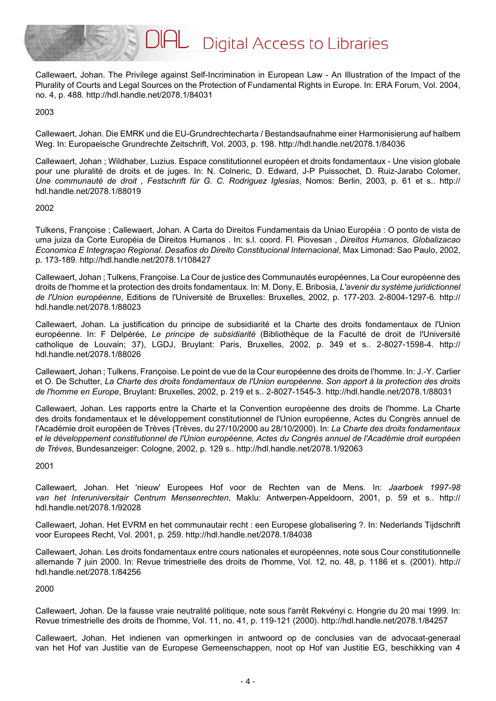

Callewaert, Johan. The Privilege against Self-Incrimination in European Law - An Illustration of the Impact of the Plurality of Courts and Legal Sources on the Protection of Fundamental Rights in Europe. In: ERA Forum, Vol. 2004, no. 4, p. 488. http://hdl.handle.net/2078.1/84031

2003

Callewaert, Johan. Die EMRK und die EU-Grundrechtecharta / Bestandsaufnahme einer Harmonisierung auf halbem Weg. In: Europaeische Grundrechte Zeitschrift, Vol. 2003, p. 198. http://hdl.handle.net/2078.1/84036

Callewaert, Johan ; Wildhaber, Luzius. Espace constitutionnel européen et droits fondamentaux - Une vision globale pour une pluralité de droits et de juges. In: N. Colneric, D. Edward, J-P Puissochet, D. Ruiz-Jarabo Colomer, *Une communauté de droit , Festschrift für G. C. Rodriguez Iglesias*, Nomos: Berlin, 2003, p. 61 et s.. http:// hdl.handle.net/2078.1/88019

#### 2002

Tulkens, Françoise ; Callewaert, Johan. A Carta do Direitos Fundamentais da Uniao Européia : O ponto de vista de uma juiza da Corte Européia de Direitos Humanos . In: s.l. coord. Fl. Piovesan , *Direitos Humanos, Globalizacao Economica E Integraçao Regional. Desafios do Direito Constitucional Internacional*, Max Limonad: Sao Paulo, 2002, p. 173-189. http://hdl.handle.net/2078.1/108427

Callewaert, Johan ; Tulkens, Françoise. La Cour de justice des Communautés européennes, La Cour européenne des droits de l'homme et la protection des droits fondamentaux. In: M. Dony, E. Bribosia, *L'avenir du système juridictionnel de l'Union européenne*, Editions de l'Université de Bruxelles: Bruxelles, 2002, p. 177-203. 2-8004-1297-6. http:// hdl.handle.net/2078.1/88023

Callewaert, Johan. La justification du principe de subsidiarité et la Charte des droits fondamentaux de l'Union européenne. In: F Delpérée, *Le principe de subsidiarité* (Bibliothèque de la Faculté de droit de l'Université catholique de Louvain; 37), LGDJ, Bruylant: Paris, Bruxelles, 2002, p. 349 et s.. 2-8027-1598-4. http:// hdl.handle.net/2078.1/88026

Callewaert, Johan ; Tulkens, Françoise. Le point de vue de la Cour européenne des droits de l'homme. In: J.-Y. Carlier et O. De Schutter, *La Charte des droits fondamentaux de l'Union européenne. Son apport à la protection des droits de l'homme en Europe*, Bruylant: Bruxelles, 2002, p. 219 et s.. 2-8027-1545-3. http://hdl.handle.net/2078.1/88031

Callewaert, Johan. Les rapports entre la Charte et la Convention européenne des droits de l'homme. La Charte des droits fondamentaux et le développement constitutionnel de l'Union européenne, Actes du Congrès annuel de l'Académie droit européen de Trèves (Trèves, du 27/10/2000 au 28/10/2000). In: *La Charte des droits fondamentaux et le développement constitutionnel de l'Union européenne, Actes du Congrès annuel de l'Académie droit européen de Trèves*, Bundesanzeiger: Cologne, 2002, p. 129 s.. http://hdl.handle.net/2078.1/92063

# 2001

Callewaert, Johan. Het 'nieuw' Europees Hof voor de Rechten van de Mens. In: *Jaarboek 1997-98 van het Interuniversitair Centrum Mensenrechten*, Maklu: Antwerpen-Appeldoorn, 2001, p. 59 et s.. http:// hdl.handle.net/2078.1/92028

Callewaert, Johan. Het EVRM en het communautair recht : een Europese globalisering ?. In: Nederlands Tijdschrift voor Europees Recht, Vol. 2001, p. 259. http://hdl.handle.net/2078.1/84038

Callewaert, Johan. Les droits fondamentaux entre cours nationales et européennes, note sous Cour constitutionnelle allemande 7 juin 2000. In: Revue trimestrielle des droits de l'homme, Vol. 12, no. 48, p. 1186 et s. (2001). http:// hdl.handle.net/2078.1/84256

2000

Callewaert, Johan. De la fausse vraie neutralité politique, note sous l'arrêt Rekvényi c. Hongrie du 20 mai 1999. In: Revue trimestrielle des droits de l'homme, Vol. 11, no. 41, p. 119-121 (2000). http://hdl.handle.net/2078.1/84257

Callewaert, Johan. Het indienen van opmerkingen in antwoord op de conclusies van de advocaat-generaal van het Hof van Justitie van de Europese Gemeenschappen, noot op Hof van Justitie EG, beschikking van 4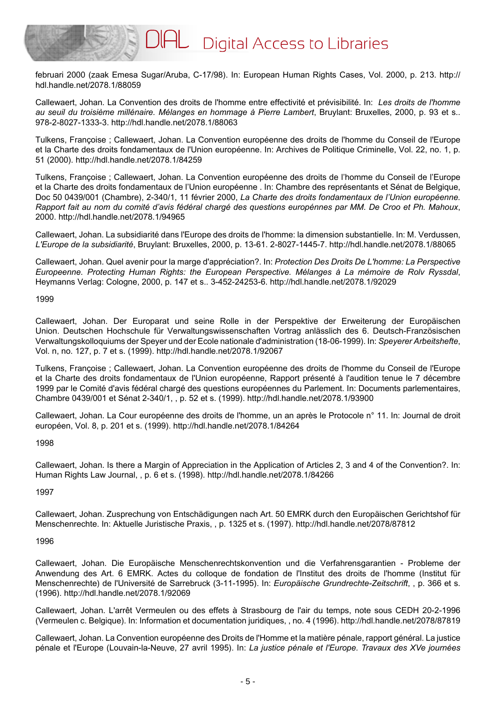februari 2000 (zaak Emesa Sugar/Aruba, C-17/98). In: European Human Rights Cases, Vol. 2000, p. 213. http:// hdl.handle.net/2078.1/88059

Callewaert, Johan. La Convention des droits de l'homme entre effectivité et prévisibilité. In: *Les droits de l'homme au seuil du troisième millénaire. Mélanges en hommage à Pierre Lambert*, Bruylant: Bruxelles, 2000, p. 93 et s.. 978-2-8027-1333-3. http://hdl.handle.net/2078.1/88063

Tulkens, Françoise ; Callewaert, Johan. La Convention européenne des droits de l'homme du Conseil de l'Europe et la Charte des droits fondamentaux de l'Union européenne. In: Archives de Politique Criminelle, Vol. 22, no. 1, p. 51 (2000). http://hdl.handle.net/2078.1/84259

Tulkens, Françoise ; Callewaert, Johan. La Convention européenne des droits de l'homme du Conseil de l'Europe et la Charte des droits fondamentaux de l'Union européenne . In: Chambre des représentants et Sénat de Belgique, Doc 50 0439/001 (Chambre), 2-340/1, 11 février 2000, *La Charte des droits fondamentaux de l'Union européenne. Rapport fait au nom du comité d'avis fédéral chargé des questions europénnes par MM. De Croo et Ph. Mahoux*, 2000. http://hdl.handle.net/2078.1/94965

Callewaert, Johan. La subsidiarité dans l'Europe des droits de l'homme: la dimension substantielle. In: M. Verdussen, *L'Europe de la subsidiarité*, Bruylant: Bruxelles, 2000, p. 13-61. 2-8027-1445-7. http://hdl.handle.net/2078.1/88065

Callewaert, Johan. Quel avenir pour la marge d'appréciation?. In: *Protection Des Droits De L'homme: La Perspective Europeenne. Protecting Human Rights: the European Perspective. Mélanges à La mémoire de Rolv Ryssdal*, Heymanns Verlag: Cologne, 2000, p. 147 et s.. 3-452-24253-6. http://hdl.handle.net/2078.1/92029

1999

Callewaert, Johan. Der Europarat und seine Rolle in der Perspektive der Erweiterung der Europäischen Union. Deutschen Hochschule für Verwaltungswissenschaften Vortrag anlässlich des 6. Deutsch-Französischen Verwaltungskolloquiums der Speyer und der Ecole nationale d'administration (18-06-1999). In: *Speyerer Arbeitshefte*, Vol. n, no. 127, p. 7 et s. (1999). http://hdl.handle.net/2078.1/92067

Tulkens, Françoise ; Callewaert, Johan. La Convention européenne des droits de l'homme du Conseil de l'Europe et la Charte des droits fondamentaux de l'Union européenne, Rapport présenté à l'audition tenue le 7 décembre 1999 par le Comité d'avis fédéral chargé des questions européennes du Parlement. In: Documents parlementaires, Chambre 0439/001 et Sénat 2-340/1, , p. 52 et s. (1999). http://hdl.handle.net/2078.1/93900

Callewaert, Johan. La Cour européenne des droits de l'homme, un an après le Protocole n° 11. In: Journal de droit européen, Vol. 8, p. 201 et s. (1999). http://hdl.handle.net/2078.1/84264

1998

Callewaert, Johan. Is there a Margin of Appreciation in the Application of Articles 2, 3 and 4 of the Convention?. In: Human Rights Law Journal, , p. 6 et s. (1998). http://hdl.handle.net/2078.1/84266

1997

Callewaert, Johan. Zusprechung von Entschädigungen nach Art. 50 EMRK durch den Europäischen Gerichtshof für Menschenrechte. In: Aktuelle Juristische Praxis, , p. 1325 et s. (1997). http://hdl.handle.net/2078/87812

1996

Callewaert, Johan. Die Europäische Menschenrechtskonvention und die Verfahrensgarantien - Probleme der Anwendung des Art. 6 EMRK. Actes du colloque de fondation de l'Institut des droits de l'homme (Institut für Menschenrechte) de l'Université de Sarrebruck (3-11-1995). In: *Europäische Grundrechte-Zeitschrift*, , p. 366 et s. (1996). http://hdl.handle.net/2078.1/92069

Callewaert, Johan. L'arrêt Vermeulen ou des effets à Strasbourg de l'air du temps, note sous CEDH 20-2-1996 (Vermeulen c. Belgique). In: Information et documentation juridiques, , no. 4 (1996). http://hdl.handle.net/2078/87819

Callewaert, Johan. La Convention européenne des Droits de l'Homme et la matière pénale, rapport général. La justice pénale et l'Europe (Louvain-la-Neuve, 27 avril 1995). In: *La justice pénale et l'Europe. Travaux des XVe journées*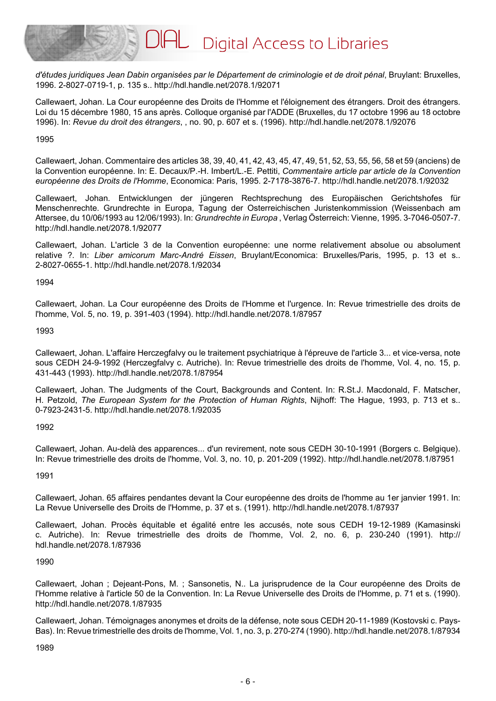*d'études juridiques Jean Dabin organisées par le Département de criminologie et de droit pénal*, Bruylant: Bruxelles, 1996. 2-8027-0719-1, p. 135 s.. http://hdl.handle.net/2078.1/92071

Callewaert, Johan. La Cour européenne des Droits de l'Homme et l'éloignement des étrangers. Droit des étrangers. Loi du 15 décembre 1980, 15 ans après. Colloque organisé par l'ADDE (Bruxelles, du 17 octobre 1996 au 18 octobre 1996). In: *Revue du droit des étrangers*, , no. 90, p. 607 et s. (1996). http://hdl.handle.net/2078.1/92076

1995

Callewaert, Johan. Commentaire des articles 38, 39, 40, 41, 42, 43, 45, 47, 49, 51, 52, 53, 55, 56, 58 et 59 (anciens) de la Convention européenne. In: E. Decaux/P.-H. Imbert/L.-E. Pettiti, *Commentaire article par article de la Convention européenne des Droits de l'Homme*, Economica: Paris, 1995. 2-7178-3876-7. http://hdl.handle.net/2078.1/92032

Callewaert, Johan. Entwicklungen der jüngeren Rechtsprechung des Europäischen Gerichtshofes für Menschenrechte. Grundrechte in Europa, Tagung der Osterreichischen Juristenkommission (Weissenbach am Attersee, du 10/06/1993 au 12/06/1993). In: *Grundrechte in Europa* , Verlag Österreich: Vienne, 1995. 3-7046-0507-7. http://hdl.handle.net/2078.1/92077

Callewaert, Johan. L'article 3 de la Convention européenne: une norme relativement absolue ou absolument relative ?. In: *Liber amicorum Marc-André Eissen*, Bruylant/Economica: Bruxelles/Paris, 1995, p. 13 et s.. 2-8027-0655-1. http://hdl.handle.net/2078.1/92034

1994

Callewaert, Johan. La Cour européenne des Droits de l'Homme et l'urgence. In: Revue trimestrielle des droits de l'homme, Vol. 5, no. 19, p. 391-403 (1994). http://hdl.handle.net/2078.1/87957

1993

Callewaert, Johan. L'affaire Herczegfalvy ou le traitement psychiatrique à l'épreuve de l'article 3... et vice-versa, note sous CEDH 24-9-1992 (Herczegfalvy c. Autriche). In: Revue trimestrielle des droits de l'homme, Vol. 4, no. 15, p. 431-443 (1993). http://hdl.handle.net/2078.1/87954

Callewaert, Johan. The Judgments of the Court, Backgrounds and Content. In: R.St.J. Macdonald, F. Matscher, H. Petzold, *The European System for the Protection of Human Rights*, Nijhoff: The Hague, 1993, p. 713 et s.. 0-7923-2431-5. http://hdl.handle.net/2078.1/92035

1992

Callewaert, Johan. Au-delà des apparences... d'un revirement, note sous CEDH 30-10-1991 (Borgers c. Belgique). In: Revue trimestrielle des droits de l'homme, Vol. 3, no. 10, p. 201-209 (1992). http://hdl.handle.net/2078.1/87951

1991

Callewaert, Johan. 65 affaires pendantes devant la Cour européenne des droits de l'homme au 1er janvier 1991. In: La Revue Universelle des Droits de l'Homme, p. 37 et s. (1991). http://hdl.handle.net/2078.1/87937

Callewaert, Johan. Procès équitable et égalité entre les accusés, note sous CEDH 19-12-1989 (Kamasinski c. Autriche). In: Revue trimestrielle des droits de l'homme, Vol. 2, no. 6, p. 230-240 (1991). http:// hdl.handle.net/2078.1/87936

# 1990

Callewaert, Johan ; Dejeant-Pons, M. ; Sansonetis, N.. La jurisprudence de la Cour européenne des Droits de l'Homme relative à l'article 50 de la Convention. In: La Revue Universelle des Droits de l'Homme, p. 71 et s. (1990). http://hdl.handle.net/2078.1/87935

Callewaert, Johan. Témoignages anonymes et droits de la défense, note sous CEDH 20-11-1989 (Kostovski c. Pays-Bas). In: Revue trimestrielle des droits de l'homme, Vol. 1, no. 3, p. 270-274 (1990). http://hdl.handle.net/2078.1/87934

1989